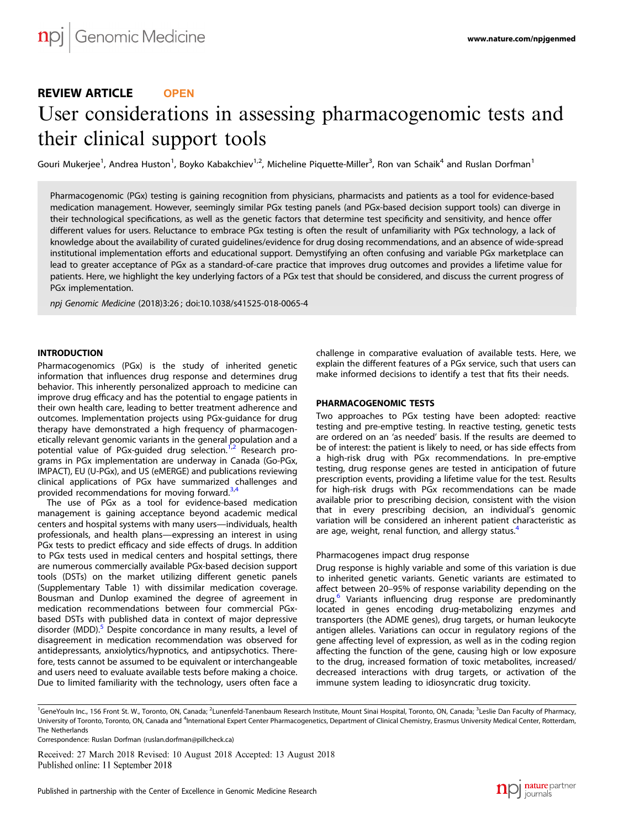# REVIEW ARTICLE **OPEN** User considerations in assessing pharmacogenomic tests and their clinical support tools

Gouri Mukerjee<sup>1</sup>, Andrea Huston<sup>1</sup>, Boyko Kabakchiev<sup>1,2</sup>, Micheline Piquette-Miller<sup>3</sup>, Ron van Schaik<sup>4</sup> and Ruslan Dorfman<sup>1</sup>

Pharmacogenomic (PGx) testing is gaining recognition from physicians, pharmacists and patients as a tool for evidence-based medication management. However, seemingly similar PGx testing panels (and PGx-based decision support tools) can diverge in their technological specifications, as well as the genetic factors that determine test specificity and sensitivity, and hence offer different values for users. Reluctance to embrace PGx testing is often the result of unfamiliarity with PGx technology, a lack of knowledge about the availability of curated guidelines/evidence for drug dosing recommendations, and an absence of wide-spread institutional implementation efforts and educational support. Demystifying an often confusing and variable PGx marketplace can lead to greater acceptance of PGx as a standard-of-care practice that improves drug outcomes and provides a lifetime value for patients. Here, we highlight the key underlying factors of a PGx test that should be considered, and discuss the current progress of PGx implementation.

npj Genomic Medicine (2018) 3:26 ; doi:10.1038/s41[525-018-0065-4](https://doi.org/10.1038/s41525-018-0065-4)

# **INTRODUCTION**

Pharmacogenomics (PGx) is the study of inherited genetic information that influences drug response and determines drug behavior. This inherently personalized approach to medicine can improve drug efficacy and has the potential to engage patients in their own health care, leading to better treatment adherence and outcomes. Implementation projects using PGx-guidance for drug therapy have demonstrated a high frequency of pharmacogenetically relevant genomic variants in the general population and a potential value of PGx-guided drug selection.<sup>[1,2](#page-7-0)</sup> Research programs in PGx implementation are underway in Canada (Go-PGx, IMPACT), EU (U-PGx), and US (eMERGE) and publications reviewing clinical applications of PGx have summarized challenges and provided recommendations for moving forward.<sup>[3,4](#page-7-0)</sup>

The use of PGx as a tool for evidence-based medication management is gaining acceptance beyond academic medical centers and hospital systems with many users—individuals, health professionals, and health plans—expressing an interest in using PGx tests to predict efficacy and side effects of drugs. In addition to PGx tests used in medical centers and hospital settings, there are numerous commercially available PGx-based decision support tools (DSTs) on the market utilizing different genetic panels (Supplementary Table 1) with dissimilar medication coverage. Bousman and Dunlop examined the degree of agreement in medication recommendations between four commercial PGxbased DSTs with published data in context of major depressive disorder (MDD).<sup>[5](#page-7-0)</sup> Despite concordance in many results, a level of disagreement in medication recommendation was observed for antidepressants, anxiolytics/hypnotics, and antipsychotics. Therefore, tests cannot be assumed to be equivalent or interchangeable and users need to evaluate available tests before making a choice. Due to limited familiarity with the technology, users often face a challenge in comparative evaluation of available tests. Here, we explain the different features of a PGx service, such that users can make informed decisions to identify a test that fits their needs.

## PHARMACOGENOMIC TESTS

Two approaches to PGx testing have been adopted: reactive testing and pre-emptive testing. In reactive testing, genetic tests are ordered on an 'as needed' basis. If the results are deemed to be of interest: the patient is likely to need, or has side effects from a high-risk drug with PGx recommendations. In pre-emptive testing, drug response genes are tested in anticipation of future prescription events, providing a lifetime value for the test. Results for high-risk drugs with PGx recommendations can be made available prior to prescribing decision, consistent with the vision that in every prescribing decision, an individual's genomic variation will be considered an inherent patient characteristic as are age, weight, renal function, and allergy status.<sup>[4](#page-7-0)</sup>

## Pharmacogenes impact drug response

Drug response is highly variable and some of this variation is due to inherited genetic variants. Genetic variants are estimated to affect between 20–95% of response variability depending on the drug.<sup>[6](#page-7-0)</sup> Variants influencing drug response are predominantly located in genes encoding drug-metabolizing enzymes and transporters (the ADME genes), drug targets, or human leukocyte antigen alleles. Variations can occur in regulatory regions of the gene affecting level of expression, as well as in the coding region affecting the function of the gene, causing high or low exposure to the drug, increased formation of toxic metabolites, increased/ decreased interactions with drug targets, or activation of the immune system leading to idiosyncratic drug toxicity.

<sup>&</sup>lt;sup>1</sup>GeneYouIn Inc., 156 Front St. W., Toronto, ON, Canada; <sup>2</sup>Lunenfeld-Tanenbaum Research Institute, Mount Sinai Hospital, Toronto, ON, Canada; <sup>3</sup>Leslie Dan Faculty of Pharmacy, University of Toronto, Toronto, ON, Canada and <sup>4</sup>International Expert Center Pharmacogenetics, Department of Clinical Chemistry, Erasmus University Medical Center, Rotterdam, The Netherlands

Correspondence: Ruslan Dorfman ([ruslan.dorfman@pillcheck.ca\)](mailto:ruslan.dorfman@pillcheck.ca)

Received: 27 March 2018 Revised: 10 August 2018 Accepted: 13 August 2018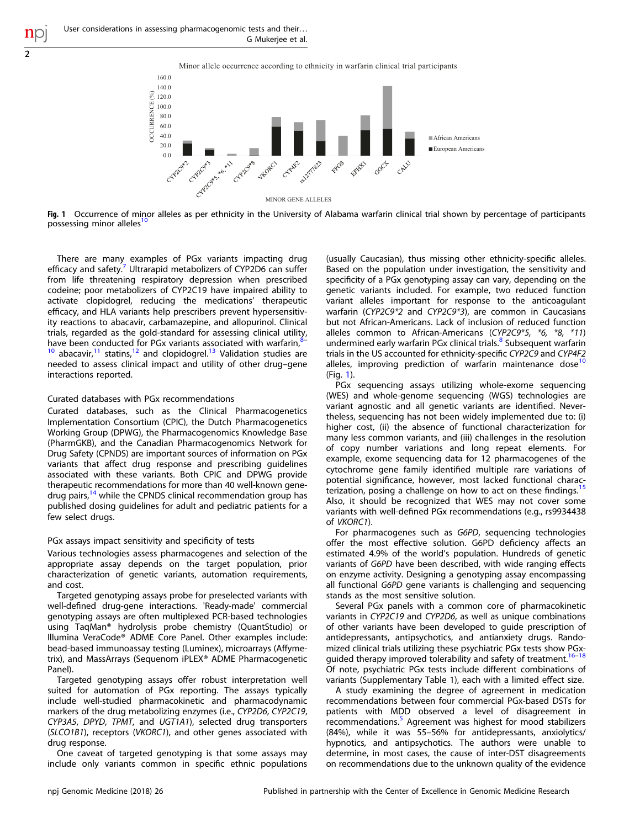2

Minor allele occurrence according to ethnicity in warfarin clinical trial participants



Fig. 1 Occurrence of minor alleles as per ethnicity in the University of Alabama warfarin clinical trial shown by percentage of participants possessing minor alleles<sup>[10](#page-7-0)</sup>

There are many examples of PGx variants impacting drug efficacy and safety.<sup>[7](#page-7-0)</sup> Ultrarapid metabolizers of CYP2D6 can suffer from life threatening respiratory depression when prescribed codeine; poor metabolizers of CYP2C19 have impaired ability to activate clopidogrel, reducing the medications' therapeutic efficacy, and HLA variants help prescribers prevent hypersensitivity reactions to abacavir, carbamazepine, and allopurinol. Clinical trials, regarded as the gold-standard for assessing clinical utility, have been conducted for PGx variants associated with warfarin,<sup>[8](#page-7-0)</sup> abacavir, $11$  statins, $12$  and clopidogrel.<sup>[13](#page-7-0)</sup> Validation studies are needed to assess clinical impact and utility of other drug–gene interactions reported.

## Curated databases with PGx recommendations

Curated databases, such as the Clinical Pharmacogenetics Implementation Consortium (CPIC), the Dutch Pharmacogenetics Working Group (DPWG), the Pharmacogenomics Knowledge Base (PharmGKB), and the Canadian Pharmacogenomics Network for Drug Safety (CPNDS) are important sources of information on PGx variants that affect drug response and prescribing guidelines associated with these variants. Both CPIC and DPWG provide therapeutic recommendations for more than 40 well-known gene-drug pairs,<sup>[14](#page-7-0)</sup> while the CPNDS clinical recommendation group has published dosing guidelines for adult and pediatric patients for a few select drugs.

#### PGx assays impact sensitivity and specificity of tests

Various technologies assess pharmacogenes and selection of the appropriate assay depends on the target population, prior characterization of genetic variants, automation requirements, and cost.

Targeted genotyping assays probe for preselected variants with well-defined drug-gene interactions. 'Ready-made' commercial genotyping assays are often multiplexed PCR-based technologies using TaqMan® hydrolysis probe chemistry (QuantStudio) or Illumina VeraCode® ADME Core Panel. Other examples include: bead-based immunoassay testing (Luminex), microarrays (Affymetrix), and MassArrays (Sequenom iPLEX® ADME Pharmacogenetic Panel).

Targeted genotyping assays offer robust interpretation well suited for automation of PGx reporting. The assays typically include well-studied pharmacokinetic and pharmacodynamic markers of the drug metabolizing enzymes (i.e., CYP2D6, CYP2C19, CYP3A5, DPYD, TPMT, and UGT1A1), selected drug transporters (SLCO1B1), receptors (VKORC1), and other genes associated with drug response.

One caveat of targeted genotyping is that some assays may include only variants common in specific ethnic populations (usually Caucasian), thus missing other ethnicity-specific alleles. Based on the population under investigation, the sensitivity and specificity of a PGx genotyping assay can vary, depending on the genetic variants included. For example, two reduced function variant alleles important for response to the anticoagulant warfarin (CYP2C9\*2 and CYP2C9\*3), are common in Caucasians but not African-Americans. Lack of inclusion of reduced function alleles common to African-Americans (CYP2C9\*5, \*6, \*8, \*11) undermined early warfarin PGx clinical trials.<sup>[8](#page-7-0)</sup> Subsequent warfarin trials in the US accounted for ethnicity-specific CYP2C9 and CYP4F2 alleles, improving prediction of warfarin maintenance dose<sup>[10](#page-7-0)</sup> (Fig. 1).

PGx sequencing assays utilizing whole-exome sequencing (WES) and whole-genome sequencing (WGS) technologies are variant agnostic and all genetic variants are identified. Nevertheless, sequencing has not been widely implemented due to: (i) higher cost, (ii) the absence of functional characterization for many less common variants, and (iii) challenges in the resolution of copy number variations and long repeat elements. For example, exome sequencing data for 12 pharmacogenes of the cytochrome gene family identified multiple rare variations of potential significance, however, most lacked functional charac-terization, posing a challenge on how to act on these findings.<sup>[15](#page-7-0)</sup> Also, it should be recognized that WES may not cover some variants with well-defined PGx recommendations (e.g., rs9934438 of VKORC1).

For pharmacogenes such as G6PD, sequencing technologies offer the most effective solution. G6PD deficiency affects an estimated 4.9% of the world's population. Hundreds of genetic variants of G6PD have been described, with wide ranging effects on enzyme activity. Designing a genotyping assay encompassing all functional G6PD gene variants is challenging and sequencing stands as the most sensitive solution.

Several PGx panels with a common core of pharmacokinetic variants in CYP2C19 and CYP2D6, as well as unique combinations of other variants have been developed to guide prescription of antidepressants, antipsychotics, and antianxiety drugs. Randomized clinical trials utilizing these psychiatric PGx tests show PGx-guided therapy improved tolerability and safety of treatment.<sup>[16](#page-7-0)-[18](#page-7-0)</sup> Of note, psychiatric PGx tests include different combinations of variants (Supplementary Table 1), each with a limited effect size.

A study examining the degree of agreement in medication recommendations between four commercial PGx-based DSTs for patients with MDD observed a level of disagreement in recommendations.<sup>3</sup> Agreement was highest for mood stabilizers (84%), while it was 55–56% for antidepressants, anxiolytics/ hypnotics, and antipsychotics. The authors were unable to determine, in most cases, the cause of inter-DST disagreements on recommendations due to the unknown quality of the evidence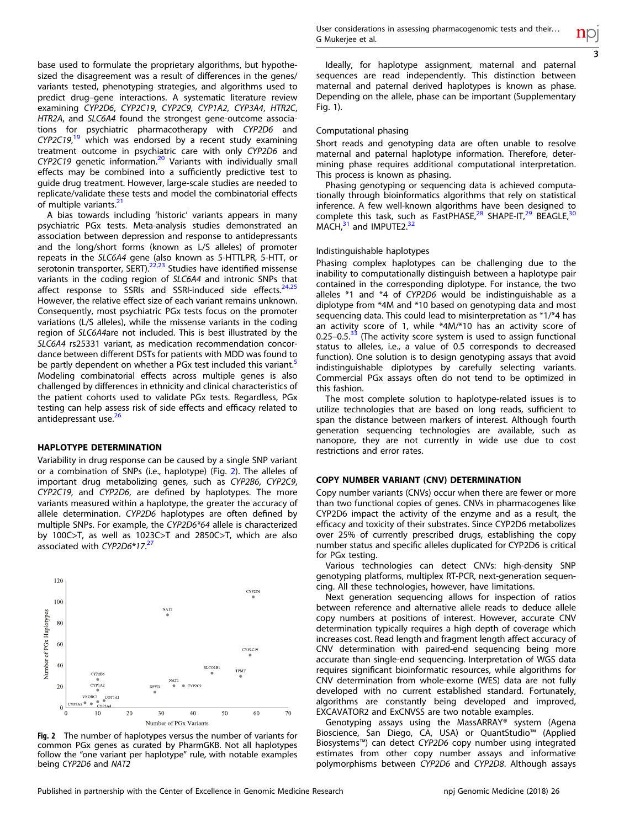base used to formulate the proprietary algorithms, but hypothesized the disagreement was a result of differences in the genes/ variants tested, phenotyping strategies, and algorithms used to predict drug–gene interactions. A systematic literature review examining CYP2D6, CYP2C19, CYP2C9, CYP1A2, CYP3A4, HTR2C, HTR2A, and SLC6A4 found the strongest gene-outcome associations for psychiatric pharmacotherapy with CYP2D6 and CYP2C[19](#page-7-0),<sup>19</sup> which was endorsed by a recent study examining treatment outcome in psychiatric care with only CYP2D6 and CYP2C19 genetic information.<sup>[20](#page-7-0)</sup> Variants with individually small effects may be combined into a sufficiently predictive test to guide drug treatment. However, large-scale studies are needed to replicate/validate these tests and model the combinatorial effects of multiple variants.<sup>2</sup>

A bias towards including 'historic' variants appears in many psychiatric PGx tests. Meta-analysis studies demonstrated an association between depression and response to antidepressants and the long/short forms (known as L/S alleles) of promoter repeats in the SLC6A4 gene (also known as 5-HTTLPR, 5-HTT, or serotonin transporter, SERT).<sup>[22](#page-7-0),[23](#page-7-0)</sup> Studies have identified missense variants in the coding region of SLC6A4 and intronic SNPs that affect response to SSRIs and SSRI-induced side effects. $24,25$ However, the relative effect size of each variant remains unknown. Consequently, most psychiatric PGx tests focus on the promoter variations (L/S alleles), while the missense variants in the coding region of SLC6A4are not included. This is best illustrated by the SLC6A4 rs25331 variant, as medication recommendation concordance between different DSTs for patients with MDD was found to be partly dependent on whether a PGx test included this variant.<sup>[5](#page-7-0)</sup> Modeling combinatorial effects across multiple genes is also challenged by differences in ethnicity and clinical characteristics of the patient cohorts used to validate PGx tests. Regardless, PGx testing can help assess risk of side effects and efficacy related to antidepressant use.<sup>[26](#page-8-0)</sup>

#### HAPLOTYPE DETERMINATION

Variability in drug response can be caused by a single SNP variant or a combination of SNPs (i.e., haplotype) (Fig. 2). The alleles of important drug metabolizing genes, such as CYP2B6, CYP2C9, CYP2C19, and CYP2D6, are defined by haplotypes. The more variants measured within a haplotype, the greater the accuracy of allele determination. CYP2D6 haplotypes are often defined by multiple SNPs. For example, the CYP2D6\*64 allele is characterized by 100C>T, as well as 1023C>T and 2850C>T, which are also associated with CYP2D6\*17.<sup>[27](#page-8-0)</sup>



Fig. 2 The number of haplotypes versus the number of variants for common PGx genes as curated by PharmGKB. Not all haplotypes follow the "one variant per haplotype" rule, with notable examples being CYP2D6 and NAT2

 $n$ 3

Ideally, for haplotype assignment, maternal and paternal sequences are read independently. This distinction between maternal and paternal derived haplotypes is known as phase. Depending on the allele, phase can be important (Supplementary Fig. 1).

#### Computational phasing

Short reads and genotyping data are often unable to resolve maternal and paternal haplotype information. Therefore, determining phase requires additional computational interpretation. This process is known as phasing.

Phasing genotyping or sequencing data is achieved computationally through bioinformatics algorithms that rely on statistical inference. A few well-known algorithms have been designed to complete this task, such as FastPHASE, $^{28}$  $^{28}$  $^{28}$  SHAPE-IT, $^{29}$  $^{29}$  $^{29}$  BEAGLE, $^3$  $MACH<sup>31</sup>$  $MACH<sup>31</sup>$  $MACH<sup>31</sup>$  and IMPUTE2.<sup>[32](#page-8-0)</sup>

## Indistinguishable haplotypes

Phasing complex haplotypes can be challenging due to the inability to computationally distinguish between a haplotype pair contained in the corresponding diplotype. For instance, the two alleles \*1 and \*4 of CYP2D6 would be indistinguishable as a diplotype from \*4M and \*10 based on genotyping data and most sequencing data. This could lead to misinterpretation as \*1/\*4 has an activity score of 1, while  $*4M/*10$  has an activity score of 0.25–0.5.<sup>33</sup> (The activity score system is used to assign functional (The activity score system is used to assign functional status to alleles, i.e., a value of 0.5 corresponds to decreased function). One solution is to design genotyping assays that avoid indistinguishable diplotypes by carefully selecting variants. Commercial PGx assays often do not tend to be optimized in this fashion.

The most complete solution to haplotype-related issues is to utilize technologies that are based on long reads, sufficient to span the distance between markers of interest. Although fourth generation sequencing technologies are available, such as nanopore, they are not currently in wide use due to cost restrictions and error rates.

#### COPY NUMBER VARIANT (CNV) DETERMINATION

Copy number variants (CNVs) occur when there are fewer or more than two functional copies of genes. CNVs in pharmacogenes like CYP2D6 impact the activity of the enzyme and as a result, the efficacy and toxicity of their substrates. Since CYP2D6 metabolizes over 25% of currently prescribed drugs, establishing the copy number status and specific alleles duplicated for CYP2D6 is critical for PGx testing.

Various technologies can detect CNVs: high-density SNP genotyping platforms, multiplex RT-PCR, next-generation sequencing. All these technologies, however, have limitations.

Next generation sequencing allows for inspection of ratios between reference and alternative allele reads to deduce allele copy numbers at positions of interest. However, accurate CNV determination typically requires a high depth of coverage which increases cost. Read length and fragment length affect accuracy of CNV determination with paired-end sequencing being more accurate than single-end sequencing. Interpretation of WGS data requires significant bioinformatic resources, while algorithms for CNV determination from whole-exome (WES) data are not fully developed with no current established standard. Fortunately, algorithms are constantly being developed and improved, EXCAVATOR2 and ExCNVSS are two notable examples.

Genotyping assays using the MassARRAY® system (Agena Bioscience, San Diego, CA, USA) or QuantStudio™ (Applied Biosystems™) can detect CYP2D6 copy number using integrated estimates from other copy number assays and informative polymorphisms between CYP2D6 and CYP2D8. Although assays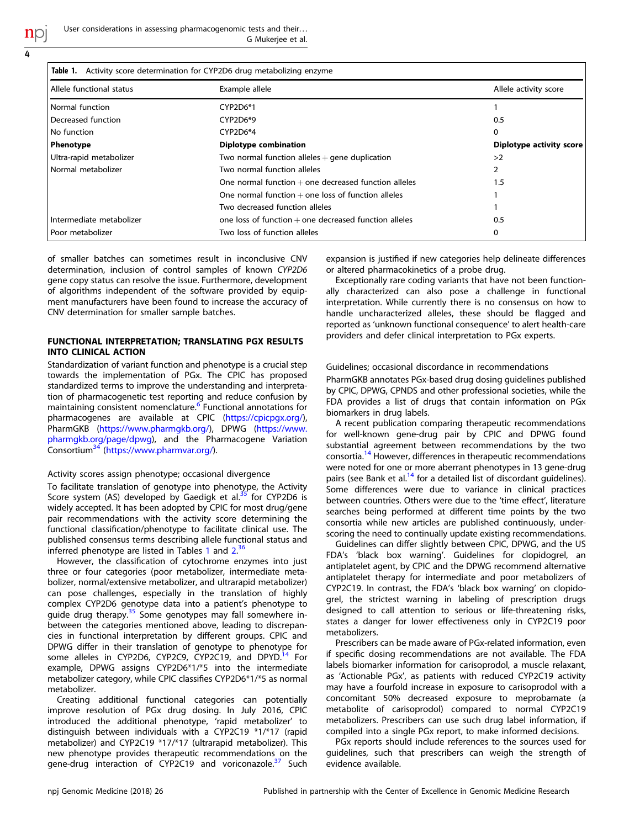| <b>Table 1.</b> Activity score determination for CYP2D6 drug metabolizing enzyme |                                                         |                          |  |  |
|----------------------------------------------------------------------------------|---------------------------------------------------------|--------------------------|--|--|
| Allele functional status                                                         | Example allele                                          | Allele activity score    |  |  |
| Normal function                                                                  | $CYP2D6*1$                                              |                          |  |  |
| Decreased function                                                               | $CYP2D6*9$                                              | 0.5                      |  |  |
| No function                                                                      | $CYP2D6*4$                                              | 0                        |  |  |
| Phenotype                                                                        | <b>Diplotype combination</b>                            | Diplotype activity score |  |  |
| Ultra-rapid metabolizer                                                          | Two normal function alleles $+$ gene duplication        | >2                       |  |  |
| Normal metabolizer                                                               | Two normal function alleles                             |                          |  |  |
|                                                                                  | One normal function $+$ one decreased function alleles  | 1.5                      |  |  |
|                                                                                  | One normal function $+$ one loss of function alleles    |                          |  |  |
|                                                                                  | Two decreased function alleles                          |                          |  |  |
| Intermediate metabolizer                                                         | one loss of function $+$ one decreased function alleles | 0.5                      |  |  |
| Poor metabolizer                                                                 | Two loss of function alleles                            | 0                        |  |  |

of smaller batches can sometimes result in inconclusive CNV determination, inclusion of control samples of known CYP2D6 gene copy status can resolve the issue. Furthermore, development of algorithms independent of the software provided by equipment manufacturers have been found to increase the accuracy of CNV determination for smaller sample batches.

# FUNCTIONAL INTERPRETATION; TRANSLATING PGX RESULTS INTO CLINICAL ACTION

Standardization of variant function and phenotype is a crucial step towards the implementation of PGx. The CPIC has proposed standardized terms to improve the understanding and interpretation of pharmacogenetic test reporting and reduce confusion by maintaining consistent nomenclature.<sup>[6](#page-7-0)</sup> Functional annotations for pharmacogenes are available at CPIC [\(https://cpicpgx.org/](https://cpicpgx.org/)), PharmGKB ([https://www.pharmgkb.org/\)](https://www.pharmgkb.org/), DPWG ([https://www.](https://www.pharmgkb.org/page/dpwg) [pharmgkb.org/page/dpwg\)](https://www.pharmgkb.org/page/dpwg), and the Pharmacogene Variation Consortium<sup>[34](#page-8-0)</sup> [\(https://www.pharmvar.org/](https://www.pharmvar.org/)).

# Activity scores assign phenotype; occasional divergence

To facilitate translation of genotype into phenotype, the Activity Score system (AS) developed by Gaedigk et al. $35$  for CYP2D6 is widely accepted. It has been adopted by CPIC for most drug/gene pair recommendations with the activity score determining the functional classification/phenotype to facilitate clinical use. The published consensus terms describing allele functional status and inferred phenotype are listed in Tables 1 and [2.](#page-4-0)<sup>[36](#page-8-0)</sup>

However, the classification of cytochrome enzymes into just three or four categories (poor metabolizer, intermediate metabolizer, normal/extensive metabolizer, and ultrarapid metabolizer) can pose challenges, especially in the translation of highly complex CYP2D6 genotype data into a patient's phenotype to guide drug therapy.<sup>[35](#page-8-0)</sup> Some genotypes may fall somewhere inbetween the categories mentioned above, leading to discrepancies in functional interpretation by different groups. CPIC and DPWG differ in their translation of genotype to phenotype for some alleles in CYP2D6, CYP2C9, CYP2C19, and DPYD.<sup>[14](#page-7-0)</sup> For example, DPWG assigns CYP2D6\*1/\*5 into the intermediate metabolizer category, while CPIC classifies CYP2D6\*1/\*5 as normal metabolizer.

Creating additional functional categories can potentially improve resolution of PGx drug dosing. In July 2016, CPIC introduced the additional phenotype, 'rapid metabolizer' to distinguish between individuals with a CYP2C19 \*1/\*17 (rapid metabolizer) and CYP2C19 \*17/\*17 (ultrarapid metabolizer). This new phenotype provides therapeutic recommendations on the gene-drug interaction of CYP2C19 and voriconazole.<sup>[37](#page-8-0)</sup> Such expansion is justified if new categories help delineate differences or altered pharmacokinetics of a probe drug.

Exceptionally rare coding variants that have not been functionally characterized can also pose a challenge in functional interpretation. While currently there is no consensus on how to handle uncharacterized alleles, these should be flagged and reported as 'unknown functional consequence' to alert health-care providers and defer clinical interpretation to PGx experts.

# Guidelines; occasional discordance in recommendations

PharmGKB annotates PGx-based drug dosing guidelines published by CPIC, DPWG, CPNDS and other professional societies, while the FDA provides a list of drugs that contain information on PGx biomarkers in drug labels.

A recent publication comparing therapeutic recommendations for well-known gene-drug pair by CPIC and DPWG found substantial agreement between recommendations by the two consortia.[14](#page-7-0) However, differences in therapeutic recommendations were noted for one or more aberrant phenotypes in 13 gene-drug pairs (see Bank et al. $<sup>14</sup>$  $<sup>14</sup>$  $<sup>14</sup>$  for a detailed list of discordant quidelines).</sup> Some differences were due to variance in clinical practices between countries. Others were due to the 'time effect', literature searches being performed at different time points by the two consortia while new articles are published continuously, underscoring the need to continually update existing recommendations.

Guidelines can differ slightly between CPIC, DPWG, and the US FDA's 'black box warning'. Guidelines for clopidogrel, an antiplatelet agent, by CPIC and the DPWG recommend alternative antiplatelet therapy for intermediate and poor metabolizers of CYP2C19. In contrast, the FDA's 'black box warning' on clopidogrel, the strictest warning in labeling of prescription drugs designed to call attention to serious or life-threatening risks, states a danger for lower effectiveness only in CYP2C19 poor metabolizers.

Prescribers can be made aware of PGx-related information, even if specific dosing recommendations are not available. The FDA labels biomarker information for carisoprodol, a muscle relaxant, as 'Actionable PGx', as patients with reduced CYP2C19 activity may have a fourfold increase in exposure to carisoprodol with a concomitant 50% decreased exposure to meprobamate (a metabolite of carisoprodol) compared to normal CYP2C19 metabolizers. Prescribers can use such drug label information, if compiled into a single PGx report, to make informed decisions.

PGx reports should include references to the sources used for guidelines, such that prescribers can weigh the strength of evidence available.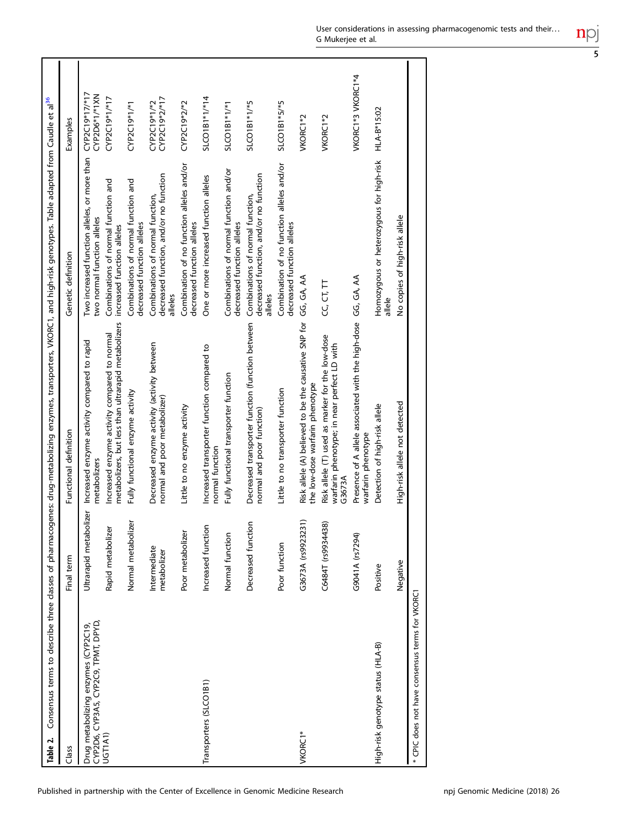<span id="page-4-0"></span>

| Table 2.                                                                   |                             | Consensus terms to describe three classes of pharmacogenes: drug-metabolizing enzymes, transporters, VKORC1, and high-risk genotypes. Table adapted from Caudle et al <sup>36</sup> |                                                                                       |                                 |
|----------------------------------------------------------------------------|-----------------------------|-------------------------------------------------------------------------------------------------------------------------------------------------------------------------------------|---------------------------------------------------------------------------------------|---------------------------------|
| Class                                                                      | Final term                  | Functional definition                                                                                                                                                               | Genetic definition                                                                    | Examples                        |
| CYP2D6, CYP3A5, CYP2C9, TPMT, DPYD,<br>Drug metabolizing enzymes (CYP2C19, | Ultrarapid metabolizer      | Increased enzyme activity compared to rapid<br>metabolizers                                                                                                                         | Two increased function alleles, or more than<br>two normal function alleles           | CYP2C19*17/*17<br>CYP2D6*1/*1XN |
| UGT1A1)                                                                    | Rapid metabolizer           | metabolizers, but less than ultrarapid metabolizers<br>Increased enzyme activity compared to normal                                                                                 | Combinations of normal function and<br>increased function alleles                     | CYP2C19*1/*17                   |
|                                                                            | Normal metabolizer          | Fully functional enzyme activity                                                                                                                                                    | Combinations of normal function and<br>decreased function alleles                     | CYP2C19*1/*1                    |
|                                                                            | Intermediate<br>metabolizer | Decreased enzyme activity (activity between<br>normal and poor metabolizer)                                                                                                         | decreased function, and/or no function<br>Combinations of normal function,<br>alleles | CYP2C19*2/*17<br>CYP2C19*1/*2   |
|                                                                            | Poor metabolizer            | Little to no enzyme activity                                                                                                                                                        | Combination of no function alleles and/or<br>decreased function alleles               | CYP2C19*2/*2                    |
| Transporters (SLCO1B1)                                                     | Increased function          | Increased transporter function compared to<br>normal function                                                                                                                       | One or more increased function alleles                                                | $SLCO1B1*1/*14$                 |
|                                                                            | Normal function             | Fully functional transporter function                                                                                                                                               | Combinations of normal function and/or<br>decreased function alleles                  | $SLCO181*1/*1$                  |
|                                                                            | Decreased function          | Decreased transporter function (function between<br>normal and poor function)                                                                                                       | decreased function, and/or no function<br>Combinations of normal function,<br>alleles | $SLCO181*1*5$                   |
|                                                                            | Poor function               | Little to no transporter function                                                                                                                                                   | Combination of no function alleles and/or<br>decreased function alleles               | $SLCO1B1*5/*5$                  |
| VKORC1*                                                                    | G3673A (rs9923231)          | Risk allele (A) believed to be the causative SNP for<br>the low-dose warfarin phenotype                                                                                             | そくらい                                                                                  | VKORC1*2                        |
|                                                                            | C6484T (rs9934438)          | Risk allele (T) used as marker for the low-dose<br>warfarin phenotype; in near perfect LD with<br>G3673A                                                                            | ヒビじ                                                                                   | VKORC1*2                        |
|                                                                            | G9041A (rs7294)             | Presence of A allele associated with the high-dose GG, GA, AA<br>warfarin phenotype                                                                                                 |                                                                                       | VKORC1*3 VKORC1*4               |
| High-risk genotype status (HLA-B)                                          | Positive                    | Detection of high-risk allele                                                                                                                                                       | Homozygous or heterozygous for high-risk<br>allele                                    | HLA-B*15:02                     |
|                                                                            | Negative                    | High-risk allele not detected                                                                                                                                                       | No copies of high-risk allele                                                         |                                 |
| * CPIC does not have consensus terms for VKORC1                            |                             |                                                                                                                                                                                     |                                                                                       |                                 |

npj 5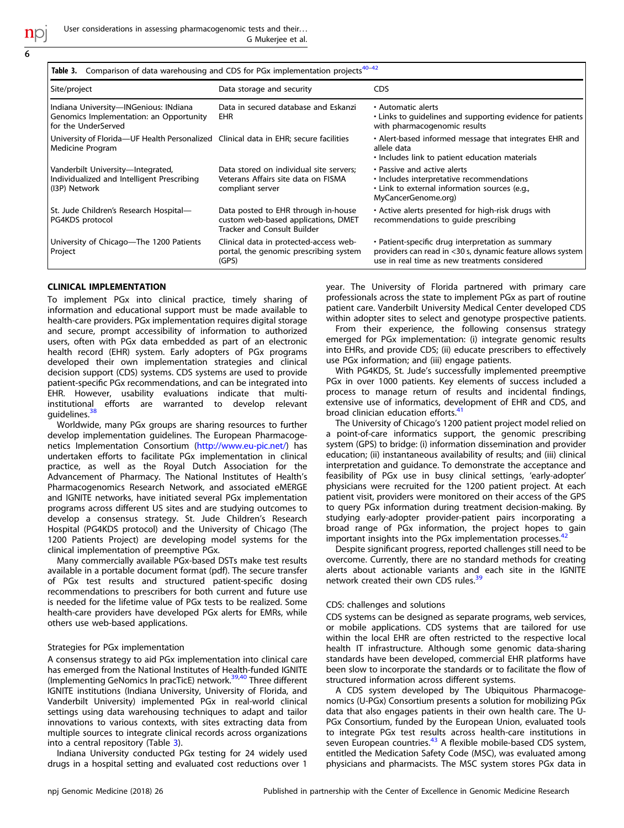| Comparison of data warehousing and CDS for PGx implementation projects <sup>40-42</sup><br>Table 3.      |                                                                                                           |                                                                                                                                                                  |  |  |
|----------------------------------------------------------------------------------------------------------|-----------------------------------------------------------------------------------------------------------|------------------------------------------------------------------------------------------------------------------------------------------------------------------|--|--|
| Site/project                                                                                             | Data storage and security                                                                                 | <b>CDS</b>                                                                                                                                                       |  |  |
| Indiana University-INGenious: INdiana<br>Genomics Implementation: an Opportunity<br>for the UnderServed  | Data in secured database and Eskanzi<br><b>EHR</b>                                                        | • Automatic alerts<br>. Links to guidelines and supporting evidence for patients<br>with pharmacogenomic results                                                 |  |  |
| University of Florida—UF Health Personalized Clinical data in EHR; secure facilities<br>Medicine Program |                                                                                                           | • Alert-based informed message that integrates EHR and<br>allele data<br>. Includes link to patient education materials                                          |  |  |
| Vanderbilt University-Integrated,<br>Individualized and Intelligent Prescribing<br>(I3P) Network         | Data stored on individual site servers:<br>Veterans Affairs site data on FISMA<br>compliant server        | • Passive and active alerts<br>· Includes interpretative recommendations<br>. Link to external information sources (e.g.,<br>MyCancerGenome.org)                 |  |  |
| St. Jude Children's Research Hospital-<br>PG4KDS protocol                                                | Data posted to EHR through in-house<br>custom web-based applications, DMET<br>Tracker and Consult Builder | • Active alerts presented for high-risk drugs with<br>recommendations to quide prescribing                                                                       |  |  |
| University of Chicago—The 1200 Patients<br>Project                                                       | Clinical data in protected-access web-<br>portal, the genomic prescribing system<br>(GPS)                 | • Patient-specific drug interpretation as summary<br>providers can read in <30 s, dynamic feature allows system<br>use in real time as new treatments considered |  |  |

## CLINICAL IMPLEMENTATION

6

To implement PGx into clinical practice, timely sharing of information and educational support must be made available to health-care providers. PGx implementation requires digital storage and secure, prompt accessibility of information to authorized users, often with PGx data embedded as part of an electronic health record (EHR) system. Early adopters of PGx programs developed their own implementation strategies and clinical decision support (CDS) systems. CDS systems are used to provide patient-specific PGx recommendations, and can be integrated into EHR. However, usability evaluations indicate that multiinstitutional efforts are warranted to develop relevant guidelines.<sup>[38](#page-8-0)</sup>

Worldwide, many PGx groups are sharing resources to further develop implementation guidelines. The European Pharmacoge-netics Implementation Consortium [\(http://www.eu-pic.net/](http://www.eu-pic.net/)) has undertaken efforts to facilitate PGx implementation in clinical practice, as well as the Royal Dutch Association for the Advancement of Pharmacy. The National Institutes of Health's Pharmacogenomics Research Network, and associated eMERGE and IGNITE networks, have initiated several PGx implementation programs across different US sites and are studying outcomes to develop a consensus strategy. St. Jude Children's Research Hospital (PG4KDS protocol) and the University of Chicago (The 1200 Patients Project) are developing model systems for the clinical implementation of preemptive PGx.

Many commercially available PGx-based DSTs make test results available in a portable document format (pdf). The secure transfer of PGx test results and structured patient-specific dosing recommendations to prescribers for both current and future use is needed for the lifetime value of PGx tests to be realized. Some health-care providers have developed PGx alerts for EMRs, while others use web-based applications.

## Strategies for PGx implementation

A consensus strategy to aid PGx implementation into clinical care has emerged from the National Institutes of Health-funded IGNITE (Implementing GeNomics In pracTicE) network.<sup>[39,40](#page-8-0)</sup> Three different IGNITE institutions (Indiana University, University of Florida, and Vanderbilt University) implemented PGx in real-world clinical settings using data warehousing techniques to adapt and tailor innovations to various contexts, with sites extracting data from multiple sources to integrate clinical records across organizations into a central repository (Table 3).

Indiana University conducted PGx testing for 24 widely used drugs in a hospital setting and evaluated cost reductions over 1 year. The University of Florida partnered with primary care professionals across the state to implement PGx as part of routine patient care. Vanderbilt University Medical Center developed CDS within adopter sites to select and genotype prospective patients.

From their experience, the following consensus strategy emerged for PGx implementation: (i) integrate genomic results into EHRs, and provide CDS; (ii) educate prescribers to effectively use PGx information; and (iii) engage patients.

With PG4KDS, St. Jude's successfully implemented preemptive PGx in over 1000 patients. Key elements of success included a process to manage return of results and incidental findings, extensive use of informatics, development of EHR and CDS, and broad clinician education efforts.<sup>[41](#page-8-0)</sup>

The University of Chicago's 1200 patient project model relied on a point-of-care informatics support, the genomic prescribing system (GPS) to bridge: (i) information dissemination and provider education; (ii) instantaneous availability of results; and (iii) clinical interpretation and guidance. To demonstrate the acceptance and feasibility of PGx use in busy clinical settings, 'early-adopter' physicians were recruited for the 1200 patient project. At each patient visit, providers were monitored on their access of the GPS to query PGx information during treatment decision-making. By studying early-adopter provider-patient pairs incorporating a broad range of PGx information, the project hopes to gain important insights into the PGx implementation processes.<sup>[42](#page-8-0)</sup>

Despite significant progress, reported challenges still need to be overcome. Currently, there are no standard methods for creating alerts about actionable variants and each site in the IGNITE network created their own CDS rules.<sup>[39](#page-8-0)</sup>

## CDS: challenges and solutions

CDS systems can be designed as separate programs, web services, or mobile applications. CDS systems that are tailored for use within the local EHR are often restricted to the respective local health IT infrastructure. Although some genomic data-sharing standards have been developed, commercial EHR platforms have been slow to incorporate the standards or to facilitate the flow of structured information across different systems.

A CDS system developed by The Ubiquitous Pharmacogenomics (U-PGx) Consortium presents a solution for mobilizing PGx data that also engages patients in their own health care. The U-PGx Consortium, funded by the European Union, evaluated tools to integrate PGx test results across health-care institutions in seven European countries.<sup>[43](#page-8-0)</sup> A flexible mobile-based CDS system, entitled the Medication Safety Code (MSC), was evaluated among physicians and pharmacists. The MSC system stores PGx data in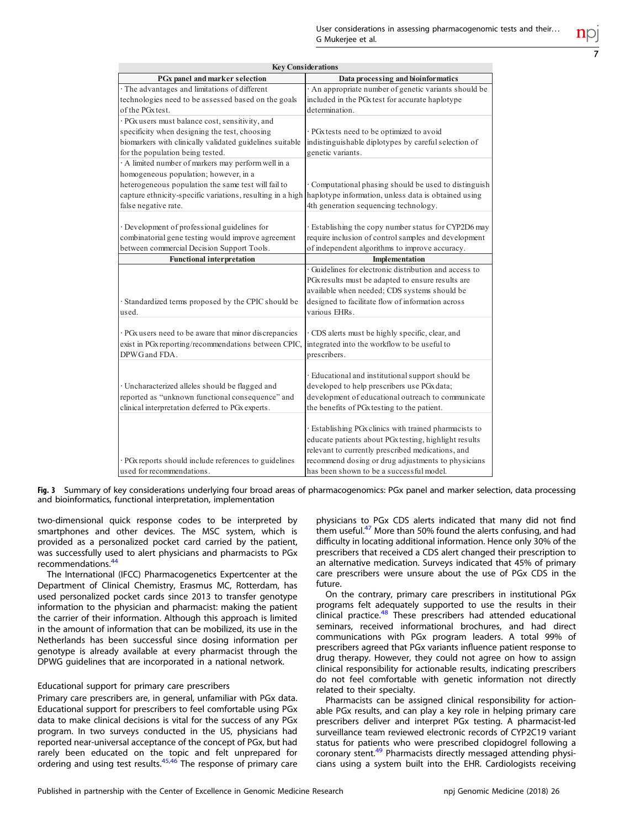7

<span id="page-6-0"></span>

| <b>Key Considerations</b>                                  |                                                        |  |  |  |
|------------------------------------------------------------|--------------------------------------------------------|--|--|--|
| PGx panel and marker selection                             | Data processing and bioinformatics                     |  |  |  |
| · The advantages and limitations of different              | An appropriate number of genetic variants should be    |  |  |  |
| technologies need to be assessed based on the goals        | included in the PGx test for accurate haplotype        |  |  |  |
| of the PGx test.                                           | determination.                                         |  |  |  |
| · PGx users must balance cost, sensitivity, and            |                                                        |  |  |  |
| specificity when designing the test, choosing              | · PGx tests need to be optimized to avoid              |  |  |  |
| biomarkers with clinically validated guidelines suitable   | indistinguishable diplotypes by careful selection of   |  |  |  |
| for the population being tested.                           | genetic variants.                                      |  |  |  |
| A limited number of markers may perform well in a          |                                                        |  |  |  |
| homogeneous population; however, in a                      |                                                        |  |  |  |
| heterogeneous population the same test will fail to        | Computational phasing should be used to distinguish    |  |  |  |
| capture ethnicity-specific variations, resulting in a high | haplotype information, unless data is obtained using   |  |  |  |
| false negative rate.                                       | 4th generation sequencing technology.                  |  |  |  |
|                                                            |                                                        |  |  |  |
| · Development of professional guidelines for               | · Establishing the copy number status for CYP2D6 may   |  |  |  |
| combinatorial gene testing would improve agreement         | require inclusion of control samples and development   |  |  |  |
| between commercial Decision Support Tools.                 | of independent algorithms to improve accuracy.         |  |  |  |
| <b>Functional interpretation</b>                           | Implementation                                         |  |  |  |
|                                                            | Guidelines for electronic distribution and access to   |  |  |  |
|                                                            | PGx results must be adapted to ensure results are      |  |  |  |
|                                                            | available when needed; CDS systems should be           |  |  |  |
| · Standardized terms proposed by the CPIC should be        | designed to facilitate flow of information across      |  |  |  |
| used.                                                      | various EHRs.                                          |  |  |  |
|                                                            |                                                        |  |  |  |
| · PGx users need to be aware that minor discrepancies      | CDS alerts must be highly specific, clear, and         |  |  |  |
| exist in PGx reporting/recommendations between CPIC,       | integrated into the workflow to be useful to           |  |  |  |
| DPWG and FDA.                                              | prescribers.                                           |  |  |  |
|                                                            |                                                        |  |  |  |
|                                                            | · Educational and institutional support should be      |  |  |  |
| · Uncharacterized alleles should be flagged and            | developed to help prescribers use PGx data;            |  |  |  |
| reported as "unknown functional consequence" and           | development of educational outreach to communicate     |  |  |  |
| clinical interpretation deferred to PGx experts.           | the benefits of PGx testing to the patient.            |  |  |  |
|                                                            |                                                        |  |  |  |
|                                                            | · Establishing PGx clinics with trained pharmacists to |  |  |  |
|                                                            | educate patients about PGx testing, highlight results  |  |  |  |
|                                                            | relevant to currently prescribed medications, and      |  |  |  |
| · PGx reports should include references to guidelines      | recommend dosing or drug adjustments to physicians     |  |  |  |
| used for recommendations.                                  |                                                        |  |  |  |

Fig. 3 Summary of key considerations underlying four broad areas of pharmacogenomics: PGx panel and marker selection, data processing and bioinformatics, functional interpretation, implementation

two-dimensional quick response codes to be interpreted by smartphones and other devices. The MSC system, which is provided as a personalized pocket card carried by the patient, was successfully used to alert physicians and pharmacists to PGx recommendations.<sup>[44](#page-8-0)</sup>

The International (IFCC) Pharmacogenetics Expertcenter at the Department of Clinical Chemistry, Erasmus MC, Rotterdam, has used personalized pocket cards since 2013 to transfer genotype information to the physician and pharmacist: making the patient the carrier of their information. Although this approach is limited in the amount of information that can be mobilized, its use in the Netherlands has been successful since dosing information per genotype is already available at every pharmacist through the DPWG guidelines that are incorporated in a national network.

# Educational support for primary care prescribers

Primary care prescribers are, in general, unfamiliar with PGx data. Educational support for prescribers to feel comfortable using PGx data to make clinical decisions is vital for the success of any PGx program. In two surveys conducted in the US, physicians had reported near-universal acceptance of the concept of PGx, but had rarely been educated on the topic and felt unprepared for ordering and using test results. $45,46$  $45,46$  $45,46$  The response of primary care physicians to PGx CDS alerts indicated that many did not find them useful.<sup>[47](#page-8-0)</sup> More than 50% found the alerts confusing, and had difficulty in locating additional information. Hence only 30% of the prescribers that received a CDS alert changed their prescription to an alternative medication. Surveys indicated that 45% of primary care prescribers were unsure about the use of PGx CDS in the future.

On the contrary, primary care prescribers in institutional PGx programs felt adequately supported to use the results in their clinical practice.<sup>[48](#page-8-0)</sup> These prescribers had attended educational seminars, received informational brochures, and had direct communications with PGx program leaders. A total 99% of prescribers agreed that PGx variants influence patient response to drug therapy. However, they could not agree on how to assign clinical responsibility for actionable results, indicating prescribers do not feel comfortable with genetic information not directly related to their specialty.

Pharmacists can be assigned clinical responsibility for actionable PGx results, and can play a key role in helping primary care prescribers deliver and interpret PGx testing. A pharmacist-led surveillance team reviewed electronic records of CYP2C19 variant status for patients who were prescribed clopidogrel following a coronary stent.<sup>[49](#page-8-0)</sup> Pharmacists directly messaged attending physicians using a system built into the EHR. Cardiologists receiving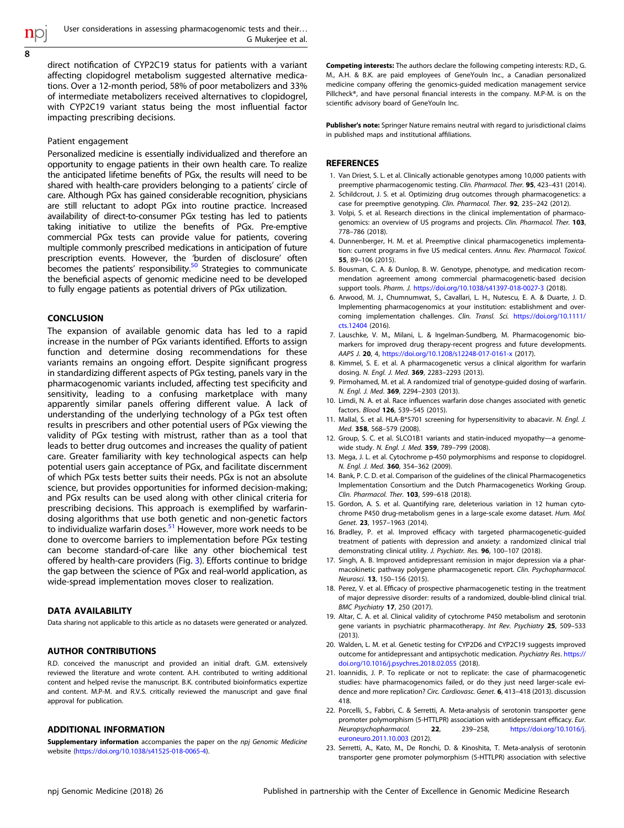<span id="page-7-0"></span>direct notification of CYP2C19 status for patients with a variant affecting clopidogrel metabolism suggested alternative medications. Over a 12-month period, 58% of poor metabolizers and 33% of intermediate metabolizers received alternatives to clopidogrel, with CYP2C19 variant status being the most influential factor impacting prescribing decisions.

## Patient engagement

Personalized medicine is essentially individualized and therefore an opportunity to engage patients in their own health care. To realize the anticipated lifetime benefits of PGx, the results will need to be shared with health-care providers belonging to a patients' circle of care. Although PGx has gained considerable recognition, physicians are still reluctant to adopt PGx into routine practice. Increased availability of direct-to-consumer PGx testing has led to patients taking initiative to utilize the benefits of PGx. Pre-emptive commercial PGx tests can provide value for patients, covering multiple commonly prescribed medications in anticipation of future prescription events. However, the 'burden of disclosure' often becomes the patients' responsibility.<sup>50</sup> Strategies to communicate the beneficial aspects of genomic medicine need to be developed to fully engage patients as potential drivers of PGx utilization.

## **CONCLUSION**

The expansion of available genomic data has led to a rapid increase in the number of PGx variants identified. Efforts to assign function and determine dosing recommendations for these variants remains an ongoing effort. Despite significant progress in standardizing different aspects of PGx testing, panels vary in the pharmacogenomic variants included, affecting test specificity and sensitivity, leading to a confusing marketplace with many apparently similar panels offering different value. A lack of understanding of the underlying technology of a PGx test often results in prescribers and other potential users of PGx viewing the validity of PGx testing with mistrust, rather than as a tool that leads to better drug outcomes and increases the quality of patient care. Greater familiarity with key technological aspects can help potential users gain acceptance of PGx, and facilitate discernment of which PGx tests better suits their needs. PGx is not an absolute science, but provides opportunities for informed decision-making; and PGx results can be used along with other clinical criteria for prescribing decisions. This approach is exemplified by warfarindosing algorithms that use both genetic and non-genetic factors to individualize warfarin doses.<sup>[51](#page-8-0)</sup> However, more work needs to be done to overcome barriers to implementation before PGx testing can become standard-of-care like any other biochemical test offered by health-care providers (Fig. [3\)](#page-6-0). Efforts continue to bridge the gap between the science of PGx and real-world application, as wide-spread implementation moves closer to realization.

## DATA AVAILABILITY

Data sharing not applicable to this article as no datasets were generated or analyzed.

## AUTHOR CONTRIBUTIONS

R.D. conceived the manuscript and provided an initial draft. G.M. extensively reviewed the literature and wrote content. A.H. contributed to writing additional content and helped revise the manuscript. B.K. contributed bioinformatics expertize and content. M.P-M. and R.V.S. critically reviewed the manuscript and gave final approval for publication.

## ADDITIONAL INFORMATION

Supplementary information accompanies the paper on the npj Genomic Medicine website [\(https://doi.org/10.1038/s41525-018-0065-4\)](https://doi.org/10.1038/s41525-018-0065-4).

Competing interests: The authors declare the following competing interests: R.D., G. M., A.H. & B.K. are paid employees of GeneYouIn Inc., a Canadian personalized medicine company offering the genomics-guided medication management service Pillcheck®, and have personal financial interests in the company. M.P-M. is on the scientific advisory board of GeneYouIn Inc.

Publisher's note: Springer Nature remains neutral with regard to jurisdictional claims in published maps and institutional affiliations.

## **REFERENCES**

- 1. Van Driest, S. L. et al. Clinically actionable genotypes among 10,000 patients with preemptive pharmacogenomic testing. Clin. Pharmacol. Ther. 95, 423-431 (2014).
- 2. Schildcrout, J. S. et al. Optimizing drug outcomes through pharmacogenetics: a case for preemptive genotyping. Clin. Pharmacol. Ther. 92, 235-242 (2012).
- 3. Volpi, S. et al. Research directions in the clinical implementation of pharmacogenomics: an overview of US programs and projects. Clin. Pharmacol. Ther. 103, 778–786 (2018).
- 4. Dunnenberger, H. M. et al. Preemptive clinical pharmacogenetics implementation: current programs in five US medical centers. Annu. Rev. Pharmacol. Toxicol. 55, 89–106 (2015).
- 5. Bousman, C. A. & Dunlop, B. W. Genotype, phenotype, and medication recommendation agreement among commercial pharmacogenetic-based decision support tools. Pharm. J. <https://doi.org/10.1038/s41397-018-0027-3> (2018).
- 6. Arwood, M. J., Chumnumwat, S., Cavallari, L. H., Nutescu, E. A. & Duarte, J. D. Implementing pharmacogenomics at your institution: establishment and overcoming implementation challenges. Clin. Transl. Sci. [https://doi.org/10.1111/](https://doi.org/10.1111/cts.12404) [cts.12404](https://doi.org/10.1111/cts.12404) (2016).
- 7. Lauschke, V. M., Milani, L. & Ingelman-Sundberg, M. Pharmacogenomic biomarkers for improved drug therapy-recent progress and future developments. AAPS J. 20, 4, <https://doi.org/10.1208/s12248-017-0161-x> (2017).
- 8. Kimmel, S. E. et al. A pharmacogenetic versus a clinical algorithm for warfarin dosing. N. Engl. J. Med. 369, 2283–2293 (2013).
- 9. Pirmohamed, M. et al. A randomized trial of genotype-guided dosing of warfarin. N. Engl. J. Med. 369, 2294–2303 (2013).
- 10. Limdi, N. A. et al. Race influences warfarin dose changes associated with genetic factors. Blood 126, 539–545 (2015).
- 11. Mallal, S. et al. HLA-B\*5701 screening for hypersensitivity to abacavir. N. Engl. J. Med. 358, 568–579 (2008).
- 12. Group, S. C. et al. SLCO1B1 variants and statin-induced myopathy—a genomewide study. N. Engl. J. Med. 359, 789–799 (2008).
- 13. Mega, J. L. et al. Cytochrome p-450 polymorphisms and response to clopidogrel. N. Engl. J. Med. 360, 354–362 (2009).
- 14. Bank, P. C. D. et al. Comparison of the guidelines of the clinical Pharmacogenetics Implementation Consortium and the Dutch Pharmacogenetics Working Group. Clin. Pharmacol. Ther. 103, 599–618 (2018).
- 15. Gordon, A. S. et al. Quantifying rare, deleterious variation in 12 human cytochrome P450 drug-metabolism genes in a large-scale exome dataset. Hum. Mol. Genet. 23, 1957–1963 (2014).
- 16. Bradley, P. et al. Improved efficacy with targeted pharmacogenetic-guided treatment of patients with depression and anxiety: a randomized clinical trial demonstrating clinical utility. J. Psychiatr. Res. 96, 100–107 (2018).
- 17. Singh, A. B. Improved antidepressant remission in major depression via a pharmacokinetic pathway polygene pharmacogenetic report. Clin. Psychopharmacol. Neurosci. 13, 150–156 (2015).
- 18. Perez, V. et al. Efficacy of prospective pharmacogenetic testing in the treatment of major depressive disorder: results of a randomized, double-blind clinical trial. BMC Psychiatry 17, 250 (2017).
- 19. Altar, C. A. et al. Clinical validity of cytochrome P450 metabolism and serotonin gene variants in psychiatric pharmacotherapy. Int Rev. Psychiatry 25, 509-533 (2013).
- 20. Walden, L. M. et al. Genetic testing for CYP2D6 and CYP2C19 suggests improved outcome for antidepressant and antipsychotic medication. Psychiatry Res. [https://](https://doi.org/10.1016/j.psychres.2018.02.055) [doi.org/10.1016/j.psychres.2018.02.055](https://doi.org/10.1016/j.psychres.2018.02.055) (2018).
- 21. Ioannidis, J. P. To replicate or not to replicate: the case of pharmacogenetic studies: have pharmacogenomics failed, or do they just need larger-scale evidence and more replication? Circ. Cardiovasc. Genet. 6, 413–418 (2013). discussion 418.
- 22. Porcelli, S., Fabbri, C. & Serretti, A. Meta-analysis of serotonin transporter gene promoter polymorphism (5-HTTLPR) association with antidepressant efficacy. Eur. Neuropsychopharmacol. 22, 239–258, [https://doi.org/10.1016/j.](https://doi.org/10.1016/j.euroneuro.2011.10.003) [euroneuro.2011.10.003](https://doi.org/10.1016/j.euroneuro.2011.10.003) (2012).
- 23. Serretti, A., Kato, M., De Ronchi, D. & Kinoshita, T. Meta-analysis of serotonin transporter gene promoter polymorphism (5-HTTLPR) association with selective